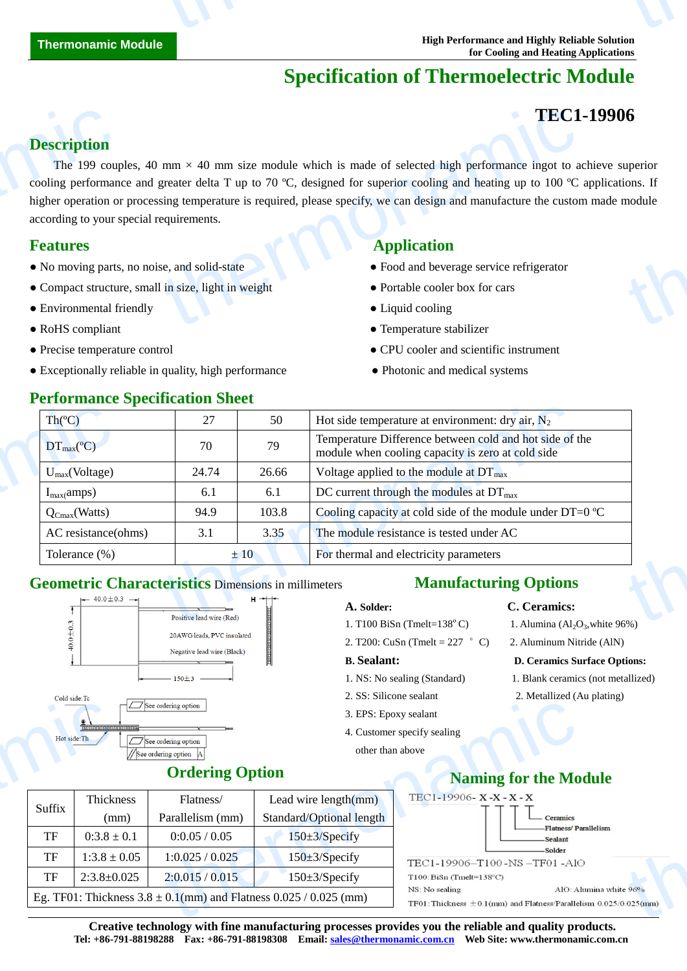# **Specification of Thermoelectric Module**

# **TEC1-19906**

#### **Description**

The 199 couples, 40 mm  $\times$  40 mm size module which is made of selected high performance ingot to achieve superior cooling performance and greater delta T up to 70 °C, designed for superior cooling and heating up to 100  $\degree$ C applications. If higher operation or processing temperature is required, please specify, we can design and manufacture the custom made module according to your special requirements. **Description**<br>The 199 coupled cooling performan<br>higher operation of<br>according to your :<br>**Features**<br>No moving parts<br>• Compact structure<br>• Environmental f **TEC1**<br>
mm  $\times$  40 mm size module which is made of selected high performance ingot to a<br>
greater delta T up to 70 °C, designed for superior cooling and heating up to 100 °C<br>
eignements.<br>
<br>
e, and solid-state<br>
in size, lig **formation**<br>tions. If<br>module

#### **Features Application**

- No moving parts, no noise, and solid-state Food and beverage service refrigerator
- Compact structure, small in size, light in weight **•** Portable cooler box for cars
- Environmental friendly <br>• Liquid cooling
- 
- 
- Exceptionally reliable in quality, high performance • • Photonic and medical systems

- 
- 
- 
- RoHS compliant Temperature stabilizer
- Precise temperature control CPU cooler and scientific instrument
	-

| Th $(C)$                        | 27    | 50    | Hot side temperature at environment: dry air, $N_2$                                                          |
|---------------------------------|-------|-------|--------------------------------------------------------------------------------------------------------------|
| $DT_{\text{max}}(\mathbb{C})$   | 70    | 79    | Temperature Difference between cold and hot side of the<br>module when cooling capacity is zero at cold side |
| $U_{max}(Voltage)$              | 24.74 | 26.66 | Voltage applied to the module at $DT_{\text{max}}$                                                           |
| $I_{max}(amps)$                 | 6.1   | 6.1   | DC current through the modules at $DT_{\text{max}}$                                                          |
| $Q_{\text{Cmax}}(\text{Watts})$ | 94.9  | 103.8 | Cooling capacity at cold side of the module under DT=0 $\mathbb{C}$                                          |
| AC resistance(ohms)             | 3.1   | 3.35  | The module resistance is tested under AC                                                                     |
| Tolerance (%)                   | ±10   |       | For thermal and electricity parameters                                                                       |

#### **Geometric Characteristics** Dimensions in millimeters



## **Ordering Option**

| $\frac{2}{\sqrt{2}}$<br>4. Customer specify sealing<br>Hot side: Th<br>$\Box$ See ordering option<br>other than above<br>See ordering option<br><b>Ordering Option</b><br>TEC1-19906-X-X-X-X<br>Thickness<br>Lead wire $length(mm)$<br>Flatness/<br>Suffix<br>Standard/Optional length<br>Parallelism (mm)<br>(mm)<br>-Flatness/Pa<br>TF<br>$0:3.8 \pm 0.1$<br>0:0.05 / 0.05<br>$150 \pm 3$ /Specify<br><b>Sealant</b><br>-Solder<br><b>TF</b><br>$1:3.8 \pm 0.05$<br>1:0.025 / 0.025<br>$150 \pm 3$ /Specify<br><b>TF</b><br>$2:3.8 \pm 0.025$<br>2:0.015/0.015<br>$150 \pm 3$ /Specify<br>$T100$ : BiSn (Tmelt= $138^{\circ}$ C) | COIG SIGG, IC | $\Box$ See ordering option | 3. EPS: Epoxy sealant |                                                                 |
|------------------------------------------------------------------------------------------------------------------------------------------------------------------------------------------------------------------------------------------------------------------------------------------------------------------------------------------------------------------------------------------------------------------------------------------------------------------------------------------------------------------------------------------------------------------------------------------------------------------------------------|---------------|----------------------------|-----------------------|-----------------------------------------------------------------|
|                                                                                                                                                                                                                                                                                                                                                                                                                                                                                                                                                                                                                                    |               |                            |                       |                                                                 |
|                                                                                                                                                                                                                                                                                                                                                                                                                                                                                                                                                                                                                                    |               |                            |                       |                                                                 |
|                                                                                                                                                                                                                                                                                                                                                                                                                                                                                                                                                                                                                                    |               |                            |                       | <b>Naming for the Mo</b>                                        |
|                                                                                                                                                                                                                                                                                                                                                                                                                                                                                                                                                                                                                                    |               |                            |                       |                                                                 |
|                                                                                                                                                                                                                                                                                                                                                                                                                                                                                                                                                                                                                                    |               |                            |                       | Ceramics                                                        |
|                                                                                                                                                                                                                                                                                                                                                                                                                                                                                                                                                                                                                                    |               |                            |                       |                                                                 |
|                                                                                                                                                                                                                                                                                                                                                                                                                                                                                                                                                                                                                                    |               |                            |                       | TEC1-19906-T100-NS-TF01-AIC                                     |
|                                                                                                                                                                                                                                                                                                                                                                                                                                                                                                                                                                                                                                    |               |                            |                       |                                                                 |
| NS: No sealing<br>Eg. TF01: Thickness $3.8 \pm 0.1$ (mm) and Flatness $0.025 / 0.025$ (mm)                                                                                                                                                                                                                                                                                                                                                                                                                                                                                                                                         |               |                            |                       | AIO: AI<br>TF01: Thickness $\pm$ 0.1(num) and Flatness/Parallel |

#### **Manufacturing Options**

- 1. T100 BiSn (Tmelt= $138^{\circ}$ C)
- 2. T200: CuSn (Tmelt =  $227$  °C) 2. Aluminum Nitride (AlN)

- 
- 
- 3. EPS: Epoxy sealant
- 4. Customer specify sealing
	- other than above

#### **A. Solder: C. Ceramics:**

- 1. Alumina  $\left(\mathrm{Al}_2\mathrm{O}_3\right)$ , white 96%)
- 

#### **B. Sealant: D. Ceramics Surface Options:**

- 1. NS: No sealing (Standard) 1. Blank ceramics (not metallized)
- 2. SS: Silicone sealant 2. Metallized (Au plating)

## **Naming for the Module**



**Creative technology with fine manufacturing processes provides you the reliable and quality products. Tel: +86-791-88198288 Fax: +86-791-88198308 Email: sales@thermonamic.com.cn Web Site: www.thermonamic.com.cn**

### **Performance Specification Sheet**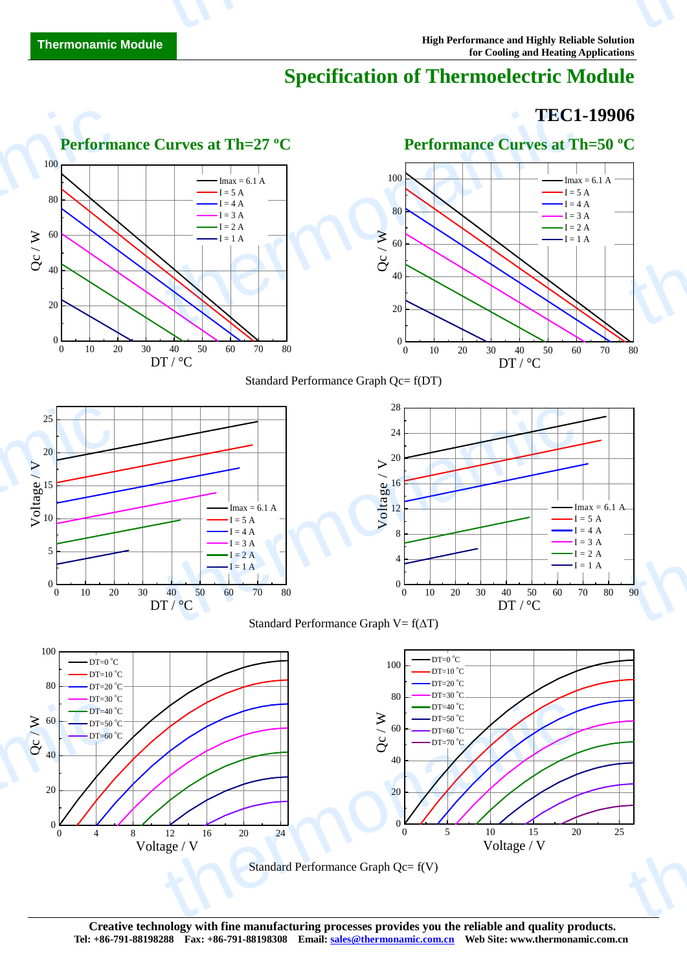# **Specification of Thermoelectric Module**

## **TEC1-19906**